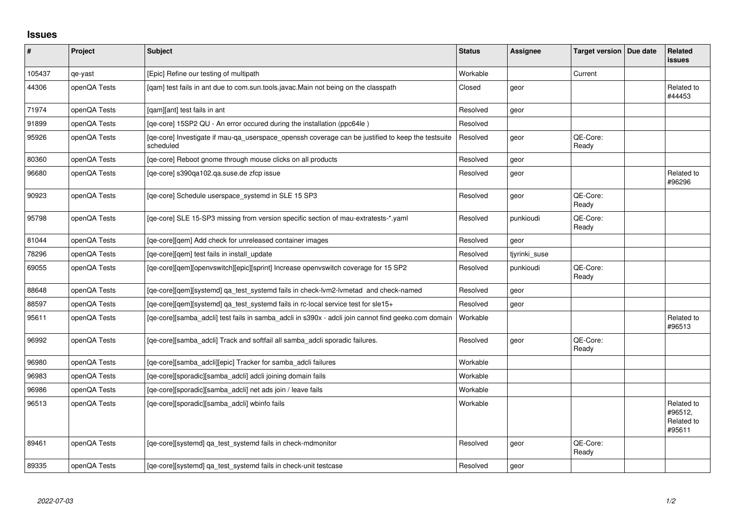## **Issues**

| ∦      | Project      | <b>Subject</b>                                                                                                 | <b>Status</b> | Assignee      | Target version   Due date | Related<br>issues                             |
|--------|--------------|----------------------------------------------------------------------------------------------------------------|---------------|---------------|---------------------------|-----------------------------------------------|
| 105437 | qe-yast      | [Epic] Refine our testing of multipath                                                                         | Workable      |               | Current                   |                                               |
| 44306  | openQA Tests | [qam] test fails in ant due to com.sun.tools.javac.Main not being on the classpath                             | Closed        | geor          |                           | Related to<br>#44453                          |
| 71974  | openQA Tests | [qam][ant] test fails in ant                                                                                   | Resolved      | geor          |                           |                                               |
| 91899  | openQA Tests | [qe-core] 15SP2 QU - An error occured during the installation (ppc64le)                                        | Resolved      |               |                           |                                               |
| 95926  | openQA Tests | [qe-core] Investigate if mau-qa_userspace_openssh coverage can be justified to keep the testsuite<br>scheduled | Resolved      | geor          | QE-Core:<br>Ready         |                                               |
| 80360  | openQA Tests | [ge-core] Reboot gnome through mouse clicks on all products                                                    | Resolved      | geor          |                           |                                               |
| 96680  | openQA Tests | [qe-core] s390qa102.qa.suse.de zfcp issue                                                                      | Resolved      | geor          |                           | Related to<br>#96296                          |
| 90923  | openQA Tests | [qe-core] Schedule userspace_systemd in SLE 15 SP3                                                             | Resolved      | geor          | QE-Core:<br>Ready         |                                               |
| 95798  | openQA Tests | [qe-core] SLE 15-SP3 missing from version specific section of mau-extratests-*.yaml                            | Resolved      | punkioudi     | QE-Core:<br>Ready         |                                               |
| 81044  | openQA Tests | [qe-core][qem] Add check for unreleased container images                                                       | Resolved      | geor          |                           |                                               |
| 78296  | openQA Tests | [qe-core][qem] test fails in install_update                                                                    | Resolved      | tjyrinki_suse |                           |                                               |
| 69055  | openQA Tests | [qe-core][qem][openvswitch][epic][sprint] Increase openvswitch coverage for 15 SP2                             | Resolved      | punkioudi     | QE-Core:<br>Ready         |                                               |
| 88648  | openQA Tests | [qe-core][qem][systemd] qa_test_systemd fails in check-lvm2-lvmetad and check-named                            | Resolved      | geor          |                           |                                               |
| 88597  | openQA Tests | [qe-core][qem][systemd] qa_test_systemd fails in rc-local service test for sle15+                              | Resolved      | geor          |                           |                                               |
| 95611  | openQA Tests | [qe-core][samba_adcli] test fails in samba_adcli in s390x - adcli join cannot find geeko.com domain            | Workable      |               |                           | Related to<br>#96513                          |
| 96992  | openQA Tests | [qe-core][samba_adcli] Track and softfail all samba_adcli sporadic failures.                                   | Resolved      | geor          | QE-Core:<br>Ready         |                                               |
| 96980  | openQA Tests | [qe-core][samba_adcli][epic] Tracker for samba_adcli failures                                                  | Workable      |               |                           |                                               |
| 96983  | openQA Tests | [qe-core][sporadic][samba_adcli] adcli joining domain fails                                                    | Workable      |               |                           |                                               |
| 96986  | openQA Tests | [qe-core][sporadic][samba_adcli] net ads join / leave fails                                                    | Workable      |               |                           |                                               |
| 96513  | openQA Tests | [qe-core][sporadic][samba_adcli] wbinfo fails                                                                  | Workable      |               |                           | Related to<br>#96512,<br>Related to<br>#95611 |
| 89461  | openQA Tests | [qe-core][systemd] qa_test_systemd fails in check-mdmonitor                                                    | Resolved      | geor          | QE-Core:<br>Ready         |                                               |
| 89335  | openQA Tests | [qe-core][systemd] qa_test_systemd fails in check-unit testcase                                                | Resolved      | geor          |                           |                                               |